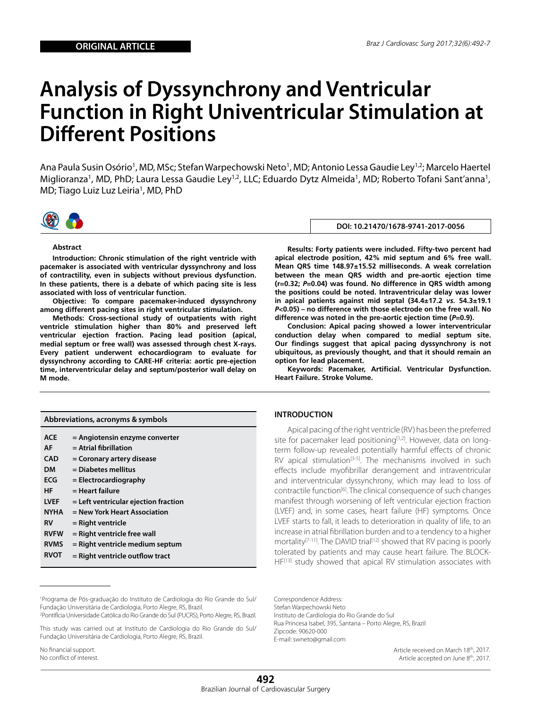# **Analysis of Dyssynchrony and Ventricular Function in Right Univentricular Stimulation at Different Positions**

Ana Paula Susin Osório<sup>1</sup>, MD, MSc; Stefan Warpechowski Neto<sup>1</sup>, MD; Antonio Lessa Gaudie Ley<sup>1,2</sup>; Marcelo Haertel Miglioranza<sup>1</sup>, MD, PhD; Laura Lessa Gaudie Ley<sup>1,2</sup>, LLC; Eduardo Dytz Almeida<sup>1</sup>, MD; Roberto Tofani Sant'anna<sup>1</sup>, MD; Tiago Luiz Luz Leiria<sup>1</sup>, MD, PhD



#### **Abstract**

**Introduction: Chronic stimulation of the right ventricle with pacemaker is associated with ventricular dyssynchrony and loss of contractility, even in subjects without previous dysfunction. In these patients, there is a debate of which pacing site is less associated with loss of ventricular function.**

**Objective: To compare pacemaker-induced dyssynchrony among different pacing sites in right ventricular stimulation.**

**Methods: Cross-sectional study of outpatients with right ventricle stimulation higher than 80% and preserved left ventricular ejection fraction. Pacing lead position (apical, medial septum or free wall) was assessed through chest X-rays. Every patient underwent echocardiogram to evaluate for dyssynchrony according to CARE-HF criteria: aortic pre-ejection time, interventricular delay and septum/posterior wall delay on M mode.**

| Abbreviations, acronyms & symbols |                                                           |  |  |
|-----------------------------------|-----------------------------------------------------------|--|--|
| <b>ACE</b><br>AF                  | = Angiotensin enzyme converter<br>$=$ Atrial fibrillation |  |  |
| CAD                               | = Coronary artery disease                                 |  |  |
| DМ                                | $=$ Diabetes mellitus                                     |  |  |
| <b>ECG</b>                        | $=$ Electrocardiography                                   |  |  |
| HF                                | $=$ Heart failure                                         |  |  |
| <b>LVEF</b>                       | $=$ Left ventricular ejection fraction                    |  |  |
| <b>NYHA</b>                       | = New York Heart Association                              |  |  |
| RV                                | = Right ventricle                                         |  |  |
| <b>RVFW</b>                       | $=$ Right ventricle free wall                             |  |  |
| <b>RVMS</b>                       | = Right ventricle medium septum                           |  |  |
| <b>RVOT</b>                       | $=$ Right ventricle outflow tract                         |  |  |

**DOI: 10.21470/1678-9741-2017-0056**

**Results: Forty patients were included. Fifty-two percent had apical electrode position, 42% mid septum and 6% free wall. Mean QRS time 148.97±15.52 milliseconds. A weak correlation between the mean QRS width and pre-aortic ejection time (r=0.32;** *P***=0.04) was found. No difference in QRS width among the positions could be noted. Intraventricular delay was lower in apical patients against mid septal (34.4±17.2** *vs.* **54.3±19.1**  *P***<0.05) – no difference with those electrode on the free wall. No difference was noted in the pre-aortic ejection time (***P***=0.9).**

**Conclusion: Apical pacing showed a lower interventricular conduction delay when compared to medial septum site. Our findings suggest that apical pacing dyssynchrony is not ubiquitous, as previously thought, and that it should remain an option for lead placement.**

**Keywords: Pacemaker, Artificial. Ventricular Dysfunction. Heart Failure. Stroke Volume.**

### **INTRODUCTION**

Apical pacing of the right ventricle (RV) has been the preferred site for pacemaker lead positioning<sup>[1,2]</sup>. However, data on longterm follow-up revealed potentially harmful effects of chronic RV apical stimulation<sup>[3-5]</sup>. The mechanisms involved in such effects include myofibrillar derangement and intraventricular and interventricular dyssynchrony, which may lead to loss of contractile function[6]. The clinical consequence of such changes manifest through worsening of left ventricular ejection fraction (LVEF) and, in some cases, heart failure (HF) symptoms. Once LVEF starts to fall, it leads to deterioration in quality of life, to an increase in atrial fibrillation burden and to a tendency to a higher mortality<sup>[7-11]</sup>. The DAVID trial<sup>[12]</sup> showed that RV pacing is poorly tolerated by patients and may cause heart failure. The BLOCK-HF<sup>[13]</sup> study showed that apical RV stimulation associates with

No financial support. No conflict of interest. Correspondence Address: Stefan Warpechowski Neto Instituto de Cardiologia do Rio Grande do Sul Rua Princesa Isabel, 395, Santana – Porto Alegre, RS, Brazil Zipcode: 90620-000 E-mail: swneto@gmail.com

> Article received on March 18th, 2017. Article accepted on June 8<sup>th</sup>, 2017.

<sup>1</sup>Programa de Pós-graduação do Instituto de Cardiologia do Rio Grande do Sul/ Fundação Universitária de Cardiologia, Porto Alegre, RS, Brazil.

<sup>2</sup> Pontifícia Universidade Católica do Rio Grande do Sul (PUCRS), Porto Alegre, RS, Brazil.

This study was carried out at Instituto de Cardiologia do Rio Grande do Sul/ Fundação Universitária de Cardiologia, Porto Alegre, RS, Brazil.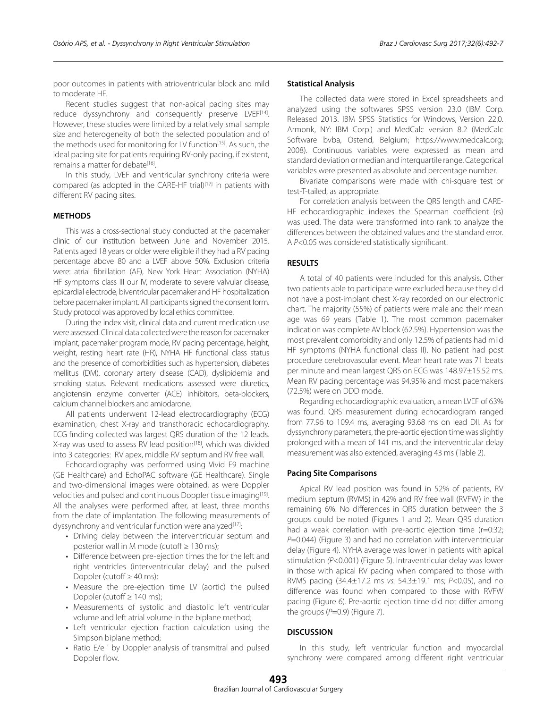poor outcomes in patients with atrioventricular block and mild to moderate HF.

Recent studies suggest that non-apical pacing sites may reduce dyssynchrony and consequently preserve LVEF<sup>[14]</sup>. However, these studies were limited by a relatively small sample size and heterogeneity of both the selected population and of the methods used for monitoring for LV function<sup>[15]</sup>. As such, the ideal pacing site for patients requiring RV-only pacing, if existent, remains a matter for debate<sup>[16]</sup>.

In this study, LVEF and ventricular synchrony criteria were compared (as adopted in the CARE-HF trial)<sup>[17]</sup> in patients with different RV pacing sites.

## **METHODS**

This was a cross-sectional study conducted at the pacemaker clinic of our institution between June and November 2015. Patients aged 18 years or older were eligible if they had a RV pacing percentage above 80 and a LVEF above 50%. Exclusion criteria were: atrial fibrillation (AF), New York Heart Association (NYHA) HF symptoms class III our IV, moderate to severe valvular disease, epicardial electrode, biventricular pacemaker and HF hospitalization before pacemaker implant. All participants signed the consent form. Study protocol was approved by local ethics committee.

During the index visit, clinical data and current medication use were assessed. Clinical data collected were the reason for pacemaker implant, pacemaker program mode, RV pacing percentage, height, weight, resting heart rate (HR), NYHA HF functional class status and the presence of comorbidities such as hypertension, diabetes mellitus (DM), coronary artery disease (CAD), dyslipidemia and smoking status. Relevant medications assessed were diuretics, angiotensin enzyme converter (ACE) inhibitors, beta-blockers, calcium channel blockers and amiodarone.

All patients underwent 12-lead electrocardiography (ECG) examination, chest X-ray and transthoracic echocardiography. ECG finding collected was largest QRS duration of the 12 leads. X-ray was used to assess RV lead position<sup>[18]</sup>, which was divided into 3 categories: RV apex, middle RV septum and RV free wall.

Echocardiography was performed using Vivid E9 machine (GE Healthcare) and EchoPAC software (GE Healthcare). Single and two-dimensional images were obtained, as were Doppler velocities and pulsed and continuous Doppler tissue imaging[19]. All the analyses were performed after, at least, three months from the date of implantation. The following measurements of dyssynchrony and ventricular function were analyzed<sup>[17]</sup>:

- · Driving delay between the interventricular septum and posterior wall in M mode (cutoff  $\geq 130$  ms);
- · Difference between pre-ejection times the for the left and right ventricles (interventricular delay) and the pulsed Doppler (cutoff  $\geq 40$  ms);
- · Measure the pre-ejection time LV (aortic) the pulsed Doppler (cutoff ≥ 140 ms);
- · Measurements of systolic and diastolic left ventricular volume and left atrial volume in the biplane method;
- · Left ventricular ejection fraction calculation using the Simpson biplane method;
- · Ratio E/e ' by Doppler analysis of transmitral and pulsed Doppler flow.

#### **Statistical Analysis**

The collected data were stored in Excel spreadsheets and analyzed using the softwares SPSS version 23.0 (IBM Corp. Released 2013. IBM SPSS Statistics for Windows, Version 22.0. Armonk, NY: IBM Corp.) and MedCalc version 8.2 (MedCalc Software bvba, Ostend, Belgium; https://www.medcalc.org; 2008). Continuous variables were expressed as mean and standard deviation or median and interquartile range. Categorical variables were presented as absolute and percentage number.

Bivariate comparisons were made with chi-square test or test-T-tailed, as appropriate.

For correlation analysis between the QRS length and CARE-HF echocardiographic indexes the Spearman coefficient (rs) was used. The data were transformed into rank to analyze the differences between the obtained values and the standard error. A *P*<0.05 was considered statistically significant.

#### **RESULTS**

A total of 40 patients were included for this analysis. Other two patients able to participate were excluded because they did not have a post-implant chest X-ray recorded on our electronic chart. The majority (55%) of patients were male and their mean age was 69 years (Table 1). The most common pacemaker indication was complete AV block (62.5%). Hypertension was the most prevalent comorbidity and only 12.5% of patients had mild HF symptoms (NYHA functional class II). No patient had post procedure cerebrovascular event. Mean heart rate was 71 beats per minute and mean largest QRS on ECG was 148.97±15.52 ms. Mean RV pacing percentage was 94.95% and most pacemakers (72.5%) were on DDD mode.

Regarding echocardiographic evaluation, a mean LVEF of 63% was found. QRS measurement during echocardiogram ranged from 77.96 to 109.4 ms, averaging 93.68 ms on lead DII. As for dyssynchrony parameters, the pre-aortic ejection time was slightly prolonged with a mean of 141 ms, and the interventricular delay measurement was also extended, averaging 43 ms (Table 2).

#### **Pacing Site Comparisons**

Apical RV lead position was found in 52% of patients, RV medium septum (RVMS) in 42% and RV free wall (RVFW) in the remaining 6%. No differences in QRS duration between the 3 groups could be noted (Figures 1 and 2). Mean QRS duration had a weak correlation with pre-aortic ejection time (r=0:32; *P*=0.044) (Figure 3) and had no correlation with interventricular delay (Figure 4). NYHA average was lower in patients with apical stimulation *(P*<0.001) (Figure 5). Intraventricular delay was lower in those with apical RV pacing when compared to those with RVMS pacing (34.4±17.2 ms *vs.* 54.3±19.1 ms; *P*<0.05), and no difference was found when compared to those with RVFW pacing (Figure 6). Pre-aortic ejection time did not differ among the groups  $(P=0.9)$  (Figure 7).

#### **DISCUSSION**

In this study, left ventricular function and myocardial synchrony were compared among different right ventricular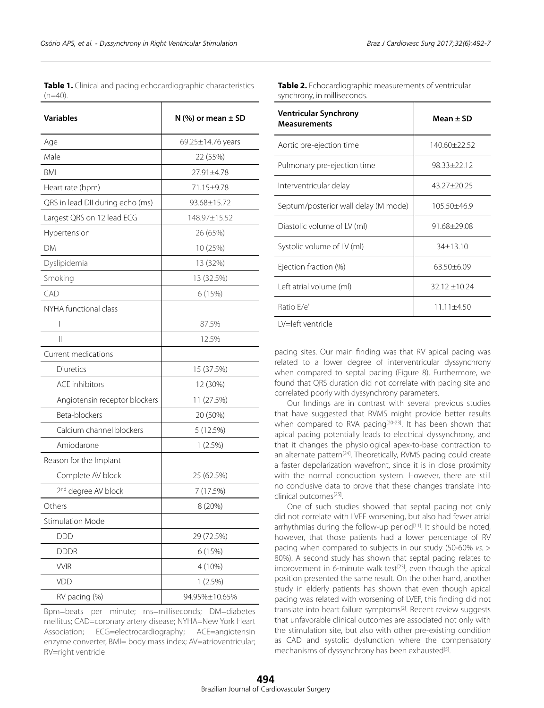**Table 1.** Clinical and pacing echocardiographic characteristics  $(n=40)$ .

| <b>Variables</b>                 | N (%) or mean $\pm$ SD |
|----------------------------------|------------------------|
| Age                              | 69.25±14.76 years      |
| Male                             | 22 (55%)               |
| <b>BMI</b>                       | 27.91±4.78             |
| Heart rate (bpm)                 | 71.15±9.78             |
| QRS in lead DII during echo (ms) | 93.68±15.72            |
| Largest QRS on 12 lead ECG       | 148.97±15.52           |
| Hypertension                     | 26 (65%)               |
| DΜ                               | 10 (25%)               |
| Dyslipidemia                     | 13 (32%)               |
| Smoking                          | 13 (32.5%)             |
| CAD                              | 6 (15%)                |
| NYHA functional class            |                        |
| $\overline{\phantom{a}}$         | 87.5%                  |
| $\mathbb{I}$                     | 12.5%                  |
| Current medications              |                        |
| Diuretics                        | 15 (37.5%)             |
| <b>ACE</b> inhibitors            | 12 (30%)               |
| Angiotensin receptor blockers    | 11 (27.5%)             |
| Beta-blockers                    | 20 (50%)               |
| Calcium channel blockers         | 5 (12.5%)              |
| Amiodarone                       | 1(2.5%)                |
| Reason for the Implant           |                        |
| Complete AV block                | 25 (62.5%)             |
| 2 <sup>nd</sup> degree AV block  | 7 (17.5%)              |
| Others                           | 8 (20%)                |
| <b>Stimulation Mode</b>          |                        |
| <b>DDD</b>                       | 29 (72.5%)             |
| <b>DDDR</b>                      | 6 (15%)                |
| <b>VVIR</b>                      | 4 (10%)                |
| VDD                              | 1(2.5%)                |
| RV pacing (%)                    | 94.95%±10.65%          |

Bpm=beats per minute; ms=milliseconds; DM=diabetes mellitus; CAD=coronary artery disease; NYHA=New York Heart Association; ECG=electrocardiography; ACE=angiotensin enzyme converter, BMI= body mass index; AV=atrioventricular; RV=right ventricle

| Table 2. Echocardiographic measurements of ventricular |
|--------------------------------------------------------|
| synchrony, in milliseconds.                            |

| <b>Ventricular Synchrony</b><br><b>Measurements</b> | Mean + SD       |
|-----------------------------------------------------|-----------------|
| Aortic pre-ejection time                            | 140.60+22.52    |
| Pulmonary pre-ejection time                         | $98.33 + 22.12$ |
| Interventricular delay                              | 43.27+20.25     |
| Septum/posterior wall delay (M mode)                | 105.50±46.9     |
| Diastolic volume of LV (ml)                         | 91.68+29.08     |
| Systolic volume of LV (ml)                          | $34+13.10$      |
| Ejection fraction (%)                               | $63.50 + 6.09$  |
| Left atrial volume (ml)                             | $32.12 + 10.24$ |
| Ratio E/e'                                          | $11.11 + 4.50$  |

LV=left ventricle

pacing sites. Our main finding was that RV apical pacing was related to a lower degree of interventricular dyssynchrony when compared to septal pacing (Figure 8). Furthermore, we found that QRS duration did not correlate with pacing site and correlated poorly with dyssynchrony parameters.

Our findings are in contrast with several previous studies that have suggested that RVMS might provide better results when compared to RVA pacing<sup>[20-23]</sup>. It has been shown that apical pacing potentially leads to electrical dyssynchrony, and that it changes the physiological apex-to-base contraction to an alternate pattern<sup>[24]</sup>. Theoretically, RVMS pacing could create a faster depolarization wavefront, since it is in close proximity with the normal conduction system. However, there are still no conclusive data to prove that these changes translate into clinical outcomes[25].

One of such studies showed that septal pacing not only did not correlate with LVEF worsening, but also had fewer atrial arrhythmias during the follow-up period<sup>[11]</sup>. It should be noted, however, that those patients had a lower percentage of RV pacing when compared to subjects in our study (50-60% *vs.* > 80%). A second study has shown that septal pacing relates to improvement in 6-minute walk test<sup>[23]</sup>, even though the apical position presented the same result. On the other hand, another study in elderly patients has shown that even though apical pacing was related with worsening of LVEF, this finding did not translate into heart failure symptoms<sup>[2]</sup>. Recent review suggests that unfavorable clinical outcomes are associated not only with the stimulation site, but also with other pre-existing condition as CAD and systolic dysfunction where the compensatory mechanisms of dyssynchrony has been exhausted<sup>[5]</sup>.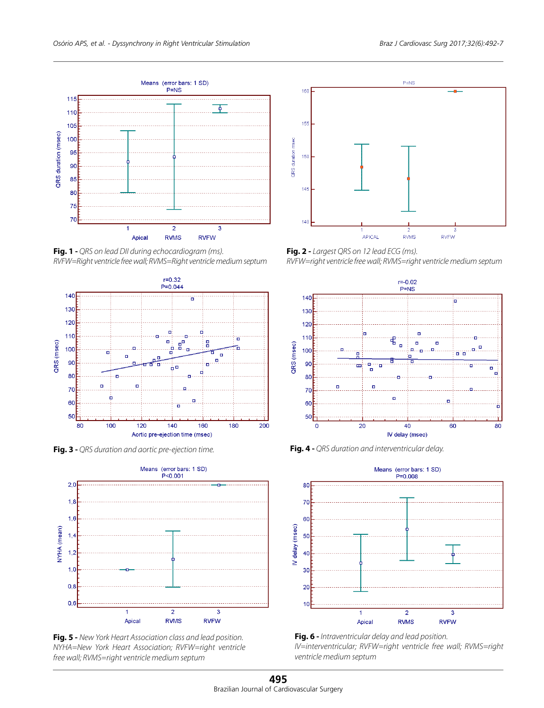

**Fig. 1 -** *QRS on lead DII during echocardiogram (ms). RVFW=Right ventricle free wall; RVMS=Right ventricle medium septum*



**Fig. 3 -** *QRS duration and aortic pre-ejection time.* **Fig. 4 -** *QRS duration and interventricular delay.*



**Fig. 5 -** *New York Heart Association class and lead position. NYHA=New York Heart Association; RVFW=right ventricle free wall; RVMS=right ventricle medium septum*



**Fig. 2 -** *Largest QRS on 12 lead ECG (ms). RVFW=right ventricle free wall; RVMS=right ventricle medium septum*







**Fig. 6 -** *Intraventricular delay and lead position. IV=interventricular; RVFW=right ventricle free wall; RVMS=right ventricle medium septum*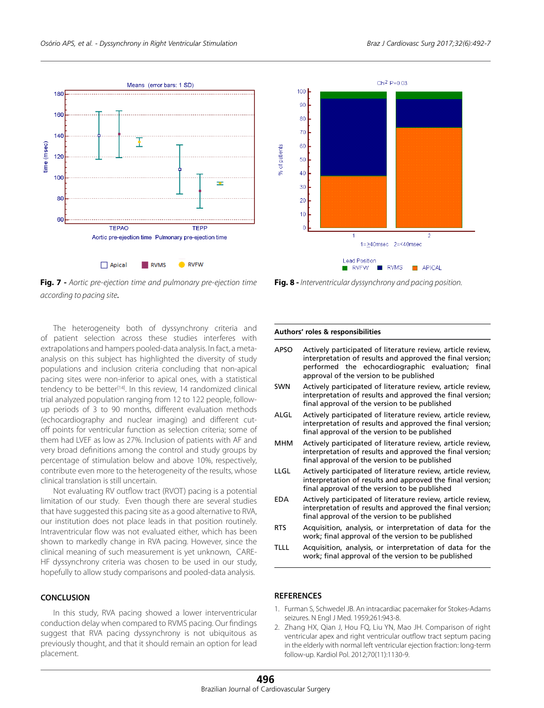



The heterogeneity both of dyssynchrony criteria and of patient selection across these studies interferes with extrapolations and hampers pooled-data analysis. In fact, a metaanalysis on this subject has highlighted the diversity of study populations and inclusion criteria concluding that non-apical pacing sites were non-inferior to apical ones, with a statistical tendency to be better<sup>[14]</sup>. In this review, 14 randomized clinical trial analyzed population ranging from 12 to 122 people, followup periods of 3 to 90 months, different evaluation methods (echocardiography and nuclear imaging) and different cutoff points for ventricular function as selection criteria; some of them had LVEF as low as 27%. Inclusion of patients with AF and very broad definitions among the control and study groups by percentage of stimulation below and above 10%, respectively, contribute even more to the heterogeneity of the results, whose clinical translation is still uncertain.

Not evaluating RV outflow tract (RVOT) pacing is a potential limitation of our study. Even though there are several studies that have suggested this pacing site as a good alternative to RVA, our institution does not place leads in that position routinely. Intraventricular flow was not evaluated either, which has been shown to markedly change in RVA pacing. However, since the clinical meaning of such measurement is yet unknown, CARE-HF dyssynchrony criteria was chosen to be used in our study, hopefully to allow study comparisons and pooled-data analysis.

## **CONCLUSION**

In this study, RVA pacing showed a lower interventricular conduction delay when compared to RVMS pacing. Our findings suggest that RVA pacing dyssynchrony is not ubiquitous as previously thought, and that it should remain an option for lead placement.



**Fig. 8 -** *Interventricular dyssynchrony and pacing position.*

#### **Authors' roles & responsibilities**

- **REFERENCES** APSO SWN ALGL MHM LLGL EDA RTS TLLL Actively participated of literature review, article review, interpretation of results and approved the final version; performed the echocardiographic evaluation; final approval of the version to be published Actively participated of literature review, article review, interpretation of results and approved the final version; final approval of the version to be published Actively participated of literature review, article review, interpretation of results and approved the final version; final approval of the version to be published Actively participated of literature review, article review, interpretation of results and approved the final version; final approval of the version to be published Actively participated of literature review, article review, interpretation of results and approved the final version; final approval of the version to be published Actively participated of literature review, article review, interpretation of results and approved the final version; final approval of the version to be published Acquisition, analysis, or interpretation of data for the work; final approval of the version to be published Acquisition, analysis, or interpretation of data for the work; final approval of the version to be published
- 1. Furman S, Schwedel JB. An intracardiac pacemaker for Stokes-Adams seizures. N Engl J Med. 1959;261:943-8.
- 2. Zhang HX, Qian J, Hou FQ, Liu YN, Mao JH. Comparison of right ventricular apex and right ventricular outflow tract septum pacing in the elderly with normal left ventricular ejection fraction: long-term follow-up. Kardiol Pol. 2012;70(11):1130-9.